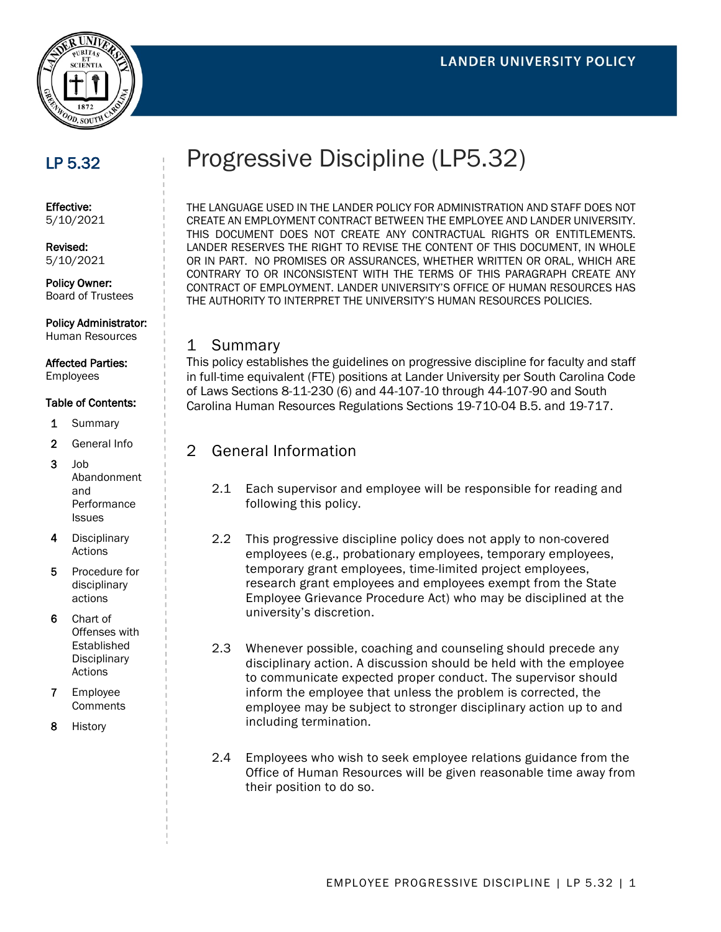

## LP 5.32

Effective: 5/10/2021

Revised: 5/10/2021

Policy Owner: Board of Trustees

Policy Administrator: Human Resources

## Affected Parties:

Employees

#### Table of Contents:

- 1 Summary
- 2 General Info
- $3$  Job Abandonment and Performance Issues
- 4 Disciplinary Actions
- 5 Procedure for disciplinary actions
- 6 Chart of Offenses with Established **Disciplinary** Actions
- 7 Employee **Comments**
- 8 History

# Progressive Discipline (LP5.32)

THE LANGUAGE USED IN THE LANDER POLICY FOR ADMINISTRATION AND STAFF DOES NOT CREATE AN EMPLOYMENT CONTRACT BETWEEN THE EMPLOYEE AND LANDER UNIVERSITY. THIS DOCUMENT DOES NOT CREATE ANY CONTRACTUAL RIGHTS OR ENTITLEMENTS. LANDER RESERVES THE RIGHT TO REVISE THE CONTENT OF THIS DOCUMENT, IN WHOLE OR IN PART. NO PROMISES OR ASSURANCES, WHETHER WRITTEN OR ORAL, WHICH ARE CONTRARY TO OR INCONSISTENT WITH THE TERMS OF THIS PARAGRAPH CREATE ANY CONTRACT OF EMPLOYMENT. LANDER UNIVERSITY'S OFFICE OF HUMAN RESOURCES HAS THE AUTHORITY TO INTERPRET THE UNIVERSITY'S HUMAN RESOURCES POLICIES.

#### 1 Summary

This policy establishes the guidelines on progressive discipline for faculty and staff in full-time equivalent (FTE) positions at Lander University per South Carolina Code of Laws Sections 8-11-230 (6) and 44-107-10 through 44-107-90 and South Carolina Human Resources Regulations Sections 19-710-04 B.5. and 19-717.

#### 2 General Information

- 2.1 Each supervisor and employee will be responsible for reading and following this policy.
- 2.2 This progressive discipline policy does not apply to non-covered employees (e.g., probationary employees, temporary employees, temporary grant employees, time-limited project employees, research grant employees and employees exempt from the State Employee Grievance Procedure Act) who may be disciplined at the university's discretion.
- 2.3 Whenever possible, coaching and counseling should precede any disciplinary action. A discussion should be held with the employee to communicate expected proper conduct. The supervisor should inform the employee that unless the problem is corrected, the employee may be subject to stronger disciplinary action up to and including termination.
- 2.4 Employees who wish to seek employee relations guidance from the Office of Human Resources will be given reasonable time away from their position to do so.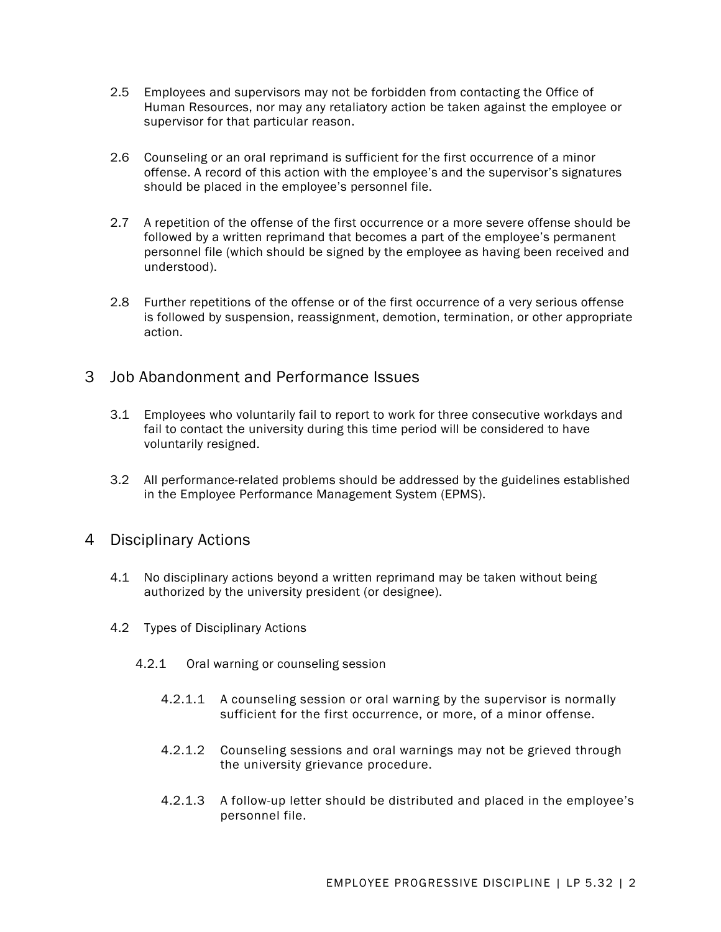- 2.5 Employees and supervisors may not be forbidden from contacting the Office of Human Resources, nor may any retaliatory action be taken against the employee or supervisor for that particular reason.
- 2.6 Counseling or an oral reprimand is sufficient for the first occurrence of a minor offense. A record of this action with the employee's and the supervisor's signatures should be placed in the employee's personnel file.
- 2.7 A repetition of the offense of the first occurrence or a more severe offense should be followed by a written reprimand that becomes a part of the employee's permanent personnel file (which should be signed by the employee as having been received and understood).
- 2.8 Further repetitions of the offense or of the first occurrence of a very serious offense is followed by suspension, reassignment, demotion, termination, or other appropriate action.

#### 3 Job Abandonment and Performance Issues

- 3.1 Employees who voluntarily fail to report to work for three consecutive workdays and fail to contact the university during this time period will be considered to have voluntarily resigned.
- 3.2 All performance-related problems should be addressed by the guidelines established in the Employee Performance Management System (EPMS).

## 4 Disciplinary Actions

- 4.1 No disciplinary actions beyond a written reprimand may be taken without being authorized by the university president (or designee).
- 4.2 Types of Disciplinary Actions
	- 4.2.1 Oral warning or counseling session
		- 4.2.1.1 A counseling session or oral warning by the supervisor is normally sufficient for the first occurrence, or more, of a minor offense.
		- 4.2.1.2 Counseling sessions and oral warnings may not be grieved through the university grievance procedure.
		- 4.2.1.3 A follow-up letter should be distributed and placed in the employee's personnel file.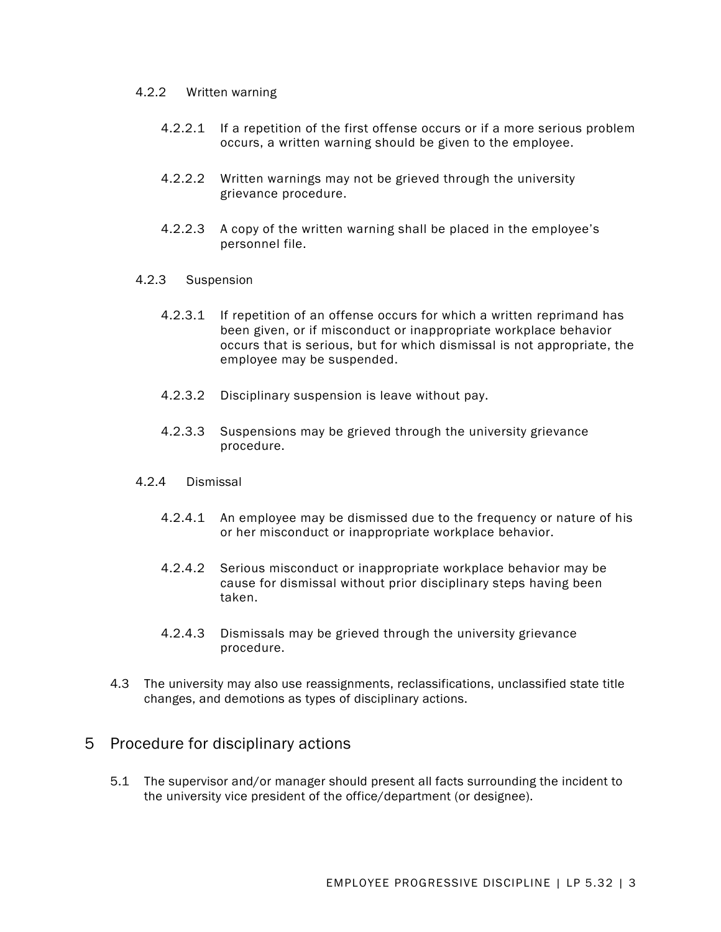#### 4.2.2 Written warning

- 4.2.2.1 If a repetition of the first offense occurs or if a more serious problem occurs, a written warning should be given to the employee.
- 4.2.2.2 Written warnings may not be grieved through the university grievance procedure.
- 4.2.2.3 A copy of the written warning shall be placed in the employee's personnel file.
- 4.2.3 Suspension
	- 4.2.3.1 If repetition of an offense occurs for which a written reprimand has been given, or if misconduct or inappropriate workplace behavior occurs that is serious, but for which dismissal is not appropriate, the employee may be suspended.
	- 4.2.3.2 Disciplinary suspension is leave without pay.
	- 4.2.3.3 Suspensions may be grieved through the university grievance procedure.

#### 4.2.4 Dismissal

- 4.2.4.1 An employee may be dismissed due to the frequency or nature of his or her misconduct or inappropriate workplace behavior.
- 4.2.4.2 Serious misconduct or inappropriate workplace behavior may be cause for dismissal without prior disciplinary steps having been taken.
- 4.2.4.3 Dismissals may be grieved through the university grievance procedure.
- 4.3 The university may also use reassignments, reclassifications, unclassified state title changes, and demotions as types of disciplinary actions.

#### 5 Procedure for disciplinary actions

5.1 The supervisor and/or manager should present all facts surrounding the incident to the university vice president of the office/department (or designee).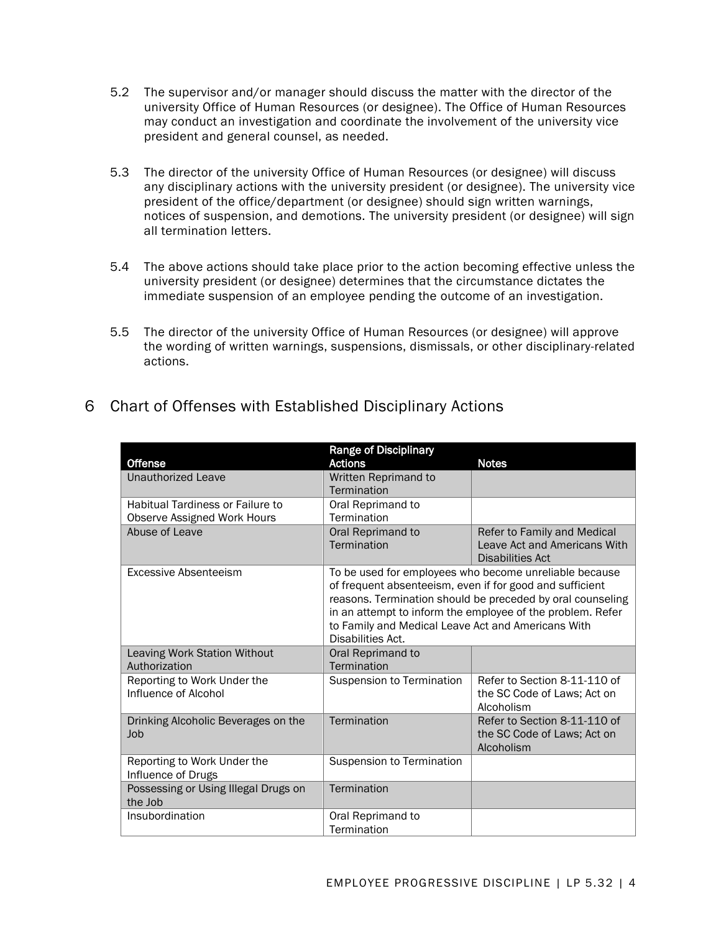- 5.2 The supervisor and/or manager should discuss the matter with the director of the university Office of Human Resources (or designee). The Office of Human Resources may conduct an investigation and coordinate the involvement of the university vice president and general counsel, as needed.
- 5.3 The director of the university Office of Human Resources (or designee) will discuss any disciplinary actions with the university president (or designee). The university vice president of the office/department (or designee) should sign written warnings, notices of suspension, and demotions. The university president (or designee) will sign all termination letters.
- 5.4 The above actions should take place prior to the action becoming effective unless the university president (or designee) determines that the circumstance dictates the immediate suspension of an employee pending the outcome of an investigation.
- 5.5 The director of the university Office of Human Resources (or designee) will approve the wording of written warnings, suspensions, dismissals, or other disciplinary-related actions.

|                                                 | <b>Range of Disciplinary</b>                                                                                                                                                                                                                                                                                              |                                                         |
|-------------------------------------------------|---------------------------------------------------------------------------------------------------------------------------------------------------------------------------------------------------------------------------------------------------------------------------------------------------------------------------|---------------------------------------------------------|
| <b>Offense</b>                                  | <b>Actions</b>                                                                                                                                                                                                                                                                                                            | <b>Notes</b>                                            |
| Unauthorized Leave                              | Written Reprimand to                                                                                                                                                                                                                                                                                                      |                                                         |
|                                                 | Termination                                                                                                                                                                                                                                                                                                               |                                                         |
| Habitual Tardiness or Failure to                | Oral Reprimand to                                                                                                                                                                                                                                                                                                         |                                                         |
| Observe Assigned Work Hours                     | Termination                                                                                                                                                                                                                                                                                                               |                                                         |
| Abuse of Leave                                  | Oral Reprimand to                                                                                                                                                                                                                                                                                                         | Refer to Family and Medical                             |
|                                                 | Termination                                                                                                                                                                                                                                                                                                               | Leave Act and Americans With<br><b>Disabilities Act</b> |
| Excessive Absenteeism                           | To be used for employees who become unreliable because<br>of frequent absenteeism, even if for good and sufficient<br>reasons. Termination should be preceded by oral counseling<br>in an attempt to inform the employee of the problem. Refer<br>to Family and Medical Leave Act and Americans With<br>Disabilities Act. |                                                         |
| Leaving Work Station Without                    | Oral Reprimand to                                                                                                                                                                                                                                                                                                         |                                                         |
| Authorization                                   | Termination                                                                                                                                                                                                                                                                                                               |                                                         |
| Reporting to Work Under the                     | Suspension to Termination                                                                                                                                                                                                                                                                                                 | Refer to Section 8-11-110 of                            |
| Influence of Alcohol                            |                                                                                                                                                                                                                                                                                                                           | the SC Code of Laws; Act on<br>Alcoholism               |
| Drinking Alcoholic Beverages on the             | Termination                                                                                                                                                                                                                                                                                                               | Refer to Section 8-11-110 of                            |
| Job                                             |                                                                                                                                                                                                                                                                                                                           | the SC Code of Laws; Act on                             |
|                                                 |                                                                                                                                                                                                                                                                                                                           | Alcoholism                                              |
| Reporting to Work Under the                     | Suspension to Termination                                                                                                                                                                                                                                                                                                 |                                                         |
| Influence of Drugs                              |                                                                                                                                                                                                                                                                                                                           |                                                         |
| Possessing or Using Illegal Drugs on<br>the Job | Termination                                                                                                                                                                                                                                                                                                               |                                                         |
| Insubordination                                 | Oral Reprimand to                                                                                                                                                                                                                                                                                                         |                                                         |
|                                                 | Termination                                                                                                                                                                                                                                                                                                               |                                                         |

## 6 Chart of Offenses with Established Disciplinary Actions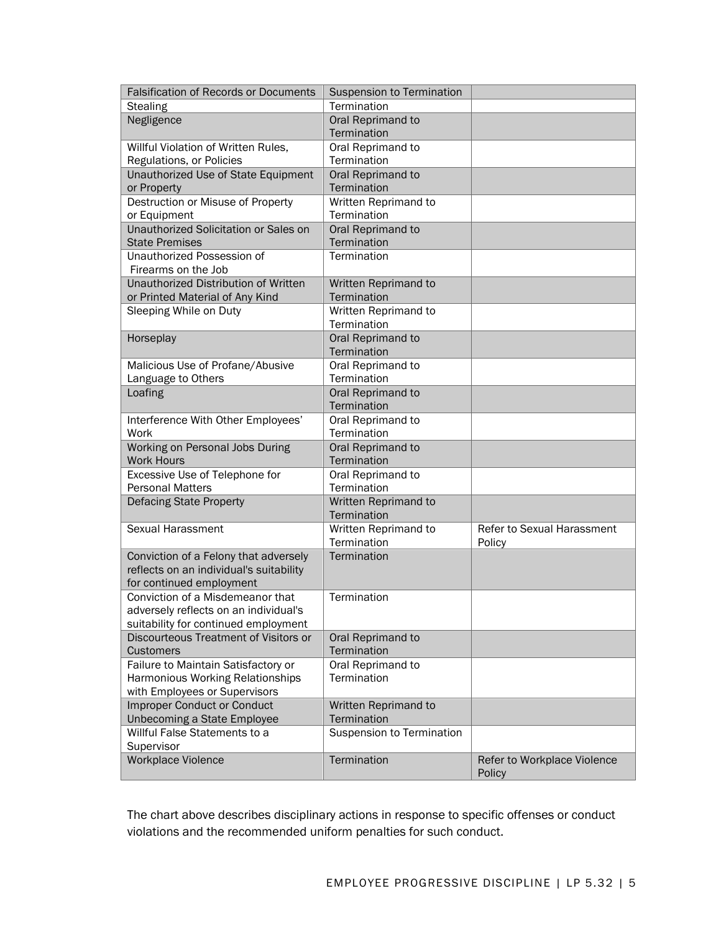| Falsification of Records or Documents   | <b>Suspension to Termination</b>    |                                       |
|-----------------------------------------|-------------------------------------|---------------------------------------|
| <b>Stealing</b>                         | Termination                         |                                       |
| Negligence                              | Oral Reprimand to                   |                                       |
|                                         | Termination                         |                                       |
| Willful Violation of Written Rules,     | Oral Reprimand to                   |                                       |
| Regulations, or Policies                | Termination                         |                                       |
| Unauthorized Use of State Equipment     | Oral Reprimand to                   |                                       |
| or Property                             | Termination                         |                                       |
| Destruction or Misuse of Property       | Written Reprimand to                |                                       |
| or Equipment                            | Termination                         |                                       |
| Unauthorized Solicitation or Sales on   | Oral Reprimand to                   |                                       |
| <b>State Premises</b>                   | Termination                         |                                       |
| Unauthorized Possession of              | Termination                         |                                       |
| Firearms on the Job                     |                                     |                                       |
| Unauthorized Distribution of Written    | Written Reprimand to                |                                       |
| or Printed Material of Any Kind         | Termination                         |                                       |
| Sleeping While on Duty                  | Written Reprimand to<br>Termination |                                       |
|                                         | Oral Reprimand to                   |                                       |
| Horseplay                               | Termination                         |                                       |
| Malicious Use of Profane/Abusive        | Oral Reprimand to                   |                                       |
| Language to Others                      | Termination                         |                                       |
| Loafing                                 | Oral Reprimand to                   |                                       |
|                                         | Termination                         |                                       |
| Interference With Other Employees'      | Oral Reprimand to                   |                                       |
| Work                                    | Termination                         |                                       |
| Working on Personal Jobs During         | Oral Reprimand to                   |                                       |
| <b>Work Hours</b>                       | Termination                         |                                       |
| Excessive Use of Telephone for          | Oral Reprimand to                   |                                       |
| <b>Personal Matters</b>                 | Termination                         |                                       |
| Defacing State Property                 | Written Reprimand to                |                                       |
|                                         | Termination                         |                                       |
| Sexual Harassment                       | Written Reprimand to                | Refer to Sexual Harassment            |
|                                         | Termination                         | Policy                                |
| Conviction of a Felony that adversely   | Termination                         |                                       |
| reflects on an individual's suitability |                                     |                                       |
| for continued employment                |                                     |                                       |
| Conviction of a Misdemeanor that        | Termination                         |                                       |
| adversely reflects on an individual's   |                                     |                                       |
| suitability for continued employment    |                                     |                                       |
| Discourteous Treatment of Visitors or   | Oral Reprimand to                   |                                       |
| <b>Customers</b>                        | Termination                         |                                       |
| Failure to Maintain Satisfactory or     | Oral Reprimand to                   |                                       |
| Harmonious Working Relationships        | Termination                         |                                       |
| with Employees or Supervisors           |                                     |                                       |
| <b>Improper Conduct or Conduct</b>      | Written Reprimand to                |                                       |
| Unbecoming a State Employee             | Termination                         |                                       |
| Willful False Statements to a           | Suspension to Termination           |                                       |
| Supervisor                              |                                     |                                       |
| Workplace Violence                      | Termination                         | Refer to Workplace Violence<br>Policy |

The chart above describes disciplinary actions in response to specific offenses or conduct violations and the recommended uniform penalties for such conduct.